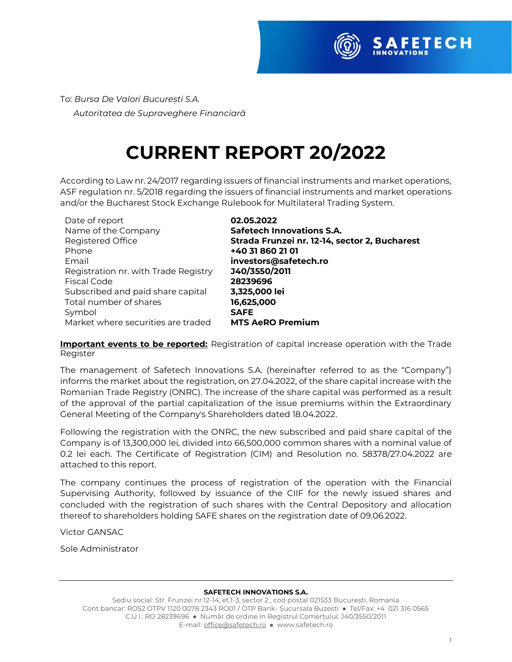

To: *Bursa De Valori București S.A. Autoritatea de Supraveghere Financiară* 

# **CURRENT REPORT 20/2022**

According to Law nr. 24/2017 regarding issuers of financial instruments and market operations, ASF regulation nr. 5/2018 regarding the issuers of financial instruments and market operations and/or the Bucharest Stock Exchange Rulebook for Multilateral Trading System.

Date of report **02.05.2022** Name of the Company **Safetech Innovations S.A.** Phone **+40 31 860 21 01** Email **investors@safetech.ro** Registration nr. with Trade Registry **J40/3550/2011** Fiscal Code **28239696** Subscribed and paid share capital **3,325,000 lei** Total number of shares **16,625,000** Symbol **SAFE** Market where securities are traded **MTS AeRO Premium**

Registered Office **Strada Frunzei nr. 12-14, sector 2, Bucharest**

**Important events to be reported:** Registration of capital increase operation with the Trade Register

The management of Safetech Innovations S.A. (hereinafter referred to as the "Company") informs the market about the registration, on 27.04.2022, of the share capital increase with the Romanian Trade Registry (ONRC). The increase of the share capital was performed as a result of the approval of the partial capitalization of the issue premiums within the Extraordinary General Meeting of the Company's Shareholders dated 18.04.2022.

Following the registration with the ONRC, the new subscribed and paid share capital of the Company is of 13,300,000 lei, divided into 66,500,000 common shares with a nominal value of 0.2 lei each. The Certificate of Registration (CIM) and Resolution no. 58378/27.04.2022 are attached to this report.

The company continues the process of registration of the operation with the Financial Supervising Authority, followed by issuance of the CIIF for the newly issued shares and concluded with the registration of such shares with the Central Depository and allocation thereof to shareholders holding SAFE shares on the registration date of 09.06.2022.

Victor GANSAC

Sole Administrator

#### **SAFETECH INNOVATIONS S.A.**

Sediu social: Str. Frunzei nr.12-14, et.1-3, sector 2 , cod postal 021533 București, Romania Cont bancar: RO52 OTPV 1120 0078 2343 RO01 / OTP Bank- Sucursala Buzesti ● Tel/Fax: +4 021 316 0565 C.U.I.: RO 28239696 ● Număr de ordine în Registrul Comerțului: J40/3550/2011 E-mail[: office@safetech.ro](mailto:office@safetech.ro) ● www.safetech.ro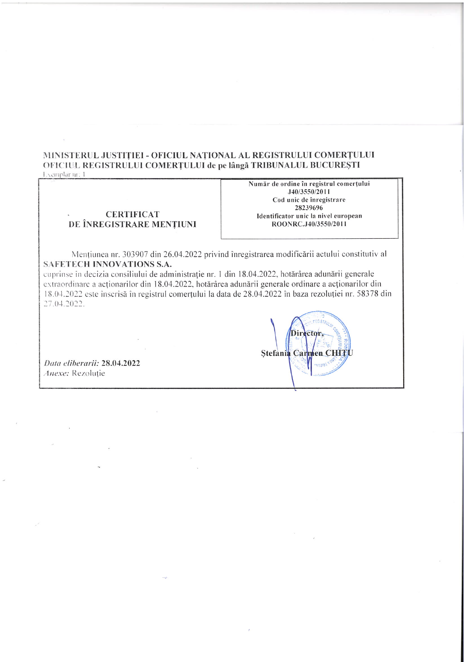## MINISTERUL JUSTIȚIEI - OFICIUL NAȚIONAL AL REGISTRULUI COMERȚULUI OFICIUL REGISTRULUI COMERȚULUI de pe lângă TRIBUNALUL BUCUREȘTI

Exemplar nr: 1

#### **CERTIFICAT** DE ÎNREGISTRARE MENȚIUNI

Număr de ordine în registrul comerțului J40/3550/2011 Cod unic de înregistrare 28239696 Identificator unic la nivel european ROONRC.J40/3550/2011

Mențiunea nr. 303907 din 26.04.2022 privind înregistrarea modificării actului constitutiv al SAFETECH INNOVATIONS S.A.

cuprinse în decizia consiliului de administrație nr. 1 din 18.04.2022, hotărârea adunării generale extraordinare a acționarilor din 18.04.2022, hotărârea adunării generale ordinare a acționarilor din 18.04.2022 este înscrisă în registrul comerțului la data de 28.04.2022 în baza rezoluției nr. 58378 din 27.04.2022.

Data eliberarii: 28.04.2022 Anexe: Rezoluție

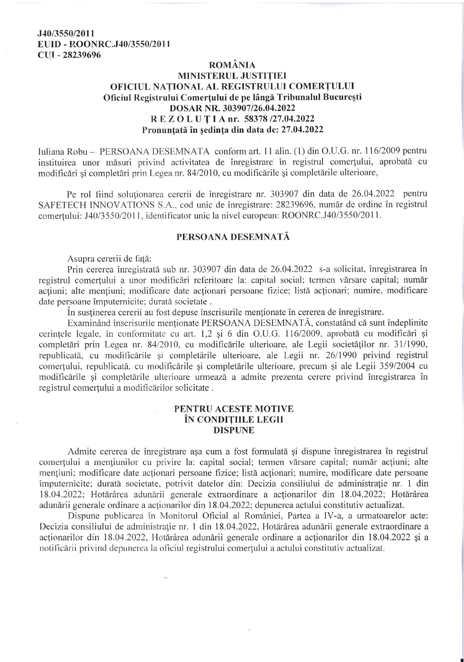#### J40/3550/2011 EUID - ROONRC.J40/3550/2011 CUI - 28239696

### **ROMÂNIA** MINISTERUL JUSTIȚIEI OFICIUL NATIONAL AL REGISTRULUI COMERTULUI Oficiul Registrului Comerțului de pe lângă Tribunalul București DOSAR NR. 303907/26.04.2022 REZOLUTIA nr. 58378 /27.04.2022 Pronuntată în ședința din data de: 27.04.2022

Iuliana Robu - PERSOANA DESEMNATA conform art. 11 alin. (1) din O.U.G. nr. 116/2009 pentru instituirea unor măsuri privind activitatea de înregistrare în registrul comerțului, aprobată cu modificări și completări prin Legea nr. 84/2010, cu modificările și completările ulterioare,

Pe rol fiind solutionarea cererii de înregistrare nr. 303907 din data de 26.04.2022 pentru SAFETECH INNOVATIONS S.A., cod unic de înregistrare: 28239696, număr de ordine în registrul comertului: J40/3550/2011, identificator unic la nivel european: ROONRC.J40/3550/2011.

#### PERSOANA DESEMNATĂ

Asupra cererii de fată:

Prin cererea înregistrată sub nr. 303907 din data de 26.04.2022 s-a solicitat, înregistrarea în registrul comertului a unor modificări referitoare la: capital social; termen vărsare capital; număr acțiuni; alte mențiuni; modificare date acționari persoane fizice; listă acționari; numire, modificare date persoane împuternicite; durată societate.

În susținerea cererii au fost depuse înscrisurile menționate în cererea de înregistrare.

Examinând înscrisurile mentionate PERSOANA DESEMNATĂ, constatând că sunt îndeplinite cerințele legale, în conformitate cu art. 1,2 și 6 din O.U.G. 116/2009, aprobată cu modificări și completări prin Legea nr. 84/2010, cu modificările ulterioare, ale Legii societăților nr. 31/1990, republicată, cu modificările și completările ulterioare, ale Legii nr. 26/1990 privind registrul comertului, republicată, cu modificările și completările ulterioare, precum și ale Legii 359/2004 cu modificările și completările ulterioare urmează a admite prezenta cerere privind înregistrarea în registrul comerțului a modificărilor solicitate.

#### PENTRU ACESTE MOTIVE ÎN CONDITIILE LEGII **DISPUNE**

Admite cererea de înregistrare așa cum a fost formulată și dispune înregistrarea în registrul comerțului a mențiunilor cu privire la: capital social; termen vărsare capital; număr acțiuni; alte mențiuni; modificare date acționari persoane fizice; listă acționari; numire, modificare date persoane împuternicite; durată societate, potrivit datelor din: Decizia consiliului de administrație nr. 1 din 18.04.2022; Hotărârea adunării generale extraordinare a acționarilor din 18.04.2022; Hotărârea adunării generale ordinare a acționarilor din 18.04.2022; depunerea actului constitutiv actualizat.

Dispune publicarea în Monitorul Oficial al României, Partea a IV-a, a urmatoarelor acte: Decizia consiliului de administrație nr. 1 din 18.04.2022, Hotărârea adunării generale extraordinare a acționarilor din 18.04.2022, Hotărârea adunării generale ordinare a acționarilor din 18.04.2022 și a notificării privind depunerea la oficiul registrului comerțului a actului constitutiv actualizat.